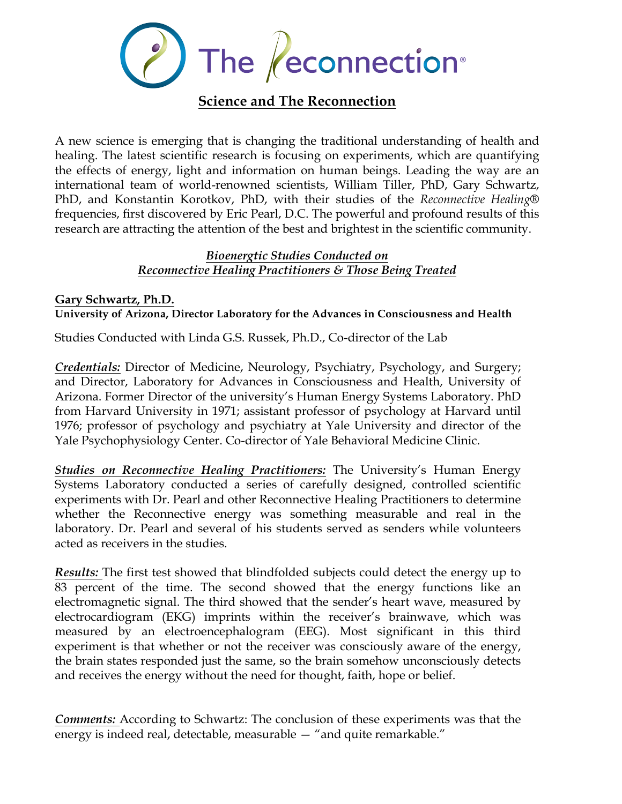

A new science is emerging that is changing the traditional understanding of health and healing. The latest scientific research is focusing on experiments, which are quantifying the effects of energy, light and information on human beings. Leading the way are an international team of world-renowned scientists, William Tiller, PhD, Gary Schwartz, PhD, and Konstantin Korotkov, PhD, with their studies of the *Reconnective Healing®* frequencies, first discovered by Eric Pearl, D.C. The powerful and profound results of this research are attracting the attention of the best and brightest in the scientific community.

#### *Bioenergtic Studies Conducted on Reconnective Healing Practitioners & Those Being Treated*

#### **Gary Schwartz, Ph.D. University of Arizona, Director Laboratory for the Advances in Consciousness and Health**

Studies Conducted with Linda G.S. Russek, Ph.D., Co-director of the Lab

*Credentials:* Director of Medicine, Neurology, Psychiatry, Psychology, and Surgery; and Director, Laboratory for Advances in Consciousness and Health, University of Arizona. Former Director of the university's Human Energy Systems Laboratory. PhD from Harvard University in 1971; assistant professor of psychology at Harvard until 1976; professor of psychology and psychiatry at Yale University and director of the Yale Psychophysiology Center. Co-director of Yale Behavioral Medicine Clinic.

*Studies on Reconnective Healing Practitioners:* The University's Human Energy Systems Laboratory conducted a series of carefully designed, controlled scientific experiments with Dr. Pearl and other Reconnective Healing Practitioners to determine whether the Reconnective energy was something measurable and real in the laboratory. Dr. Pearl and several of his students served as senders while volunteers acted as receivers in the studies.

*Results:* The first test showed that blindfolded subjects could detect the energy up to 83 percent of the time. The second showed that the energy functions like an electromagnetic signal. The third showed that the sender's heart wave, measured by electrocardiogram (EKG) imprints within the receiver's brainwave, which was measured by an electroencephalogram (EEG). Most significant in this third experiment is that whether or not the receiver was consciously aware of the energy, the brain states responded just the same, so the brain somehow unconsciously detects and receives the energy without the need for thought, faith, hope or belief.

*Comments:* According to Schwartz: The conclusion of these experiments was that the energy is indeed real, detectable, measurable — "and quite remarkable."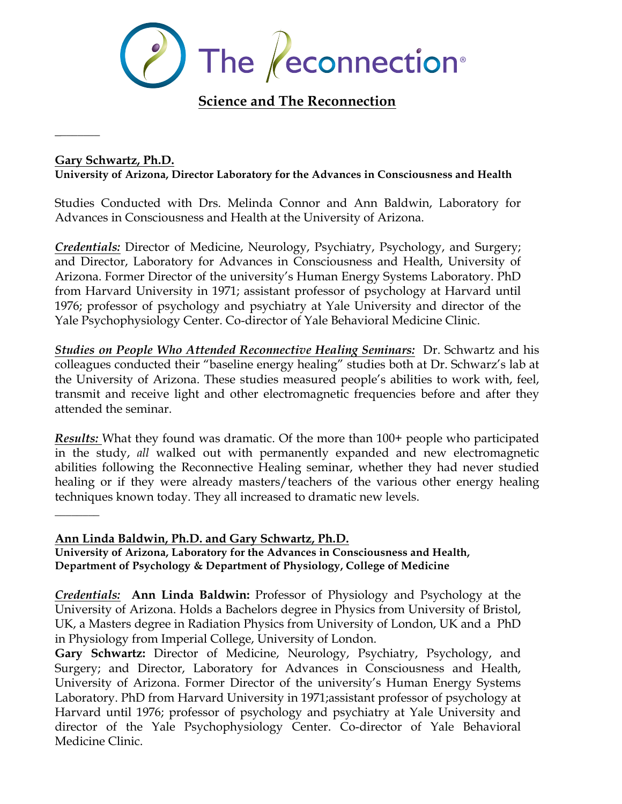

#### **Gary Schwartz, Ph.D. University of Arizona, Director Laboratory for the Advances in Consciousness and Health**

Studies Conducted with Drs. Melinda Connor and Ann Baldwin, Laboratory for Advances in Consciousness and Health at the University of Arizona.

*Credentials:* Director of Medicine, Neurology, Psychiatry, Psychology, and Surgery; and Director, Laboratory for Advances in Consciousness and Health, University of Arizona. Former Director of the university's Human Energy Systems Laboratory. PhD from Harvard University in 1971; assistant professor of psychology at Harvard until 1976; professor of psychology and psychiatry at Yale University and director of the Yale Psychophysiology Center. Co-director of Yale Behavioral Medicine Clinic.

*Studies on People Who Attended Reconnective Healing Seminars:* Dr. Schwartz and his colleagues conducted their "baseline energy healing" studies both at Dr. Schwarz's lab at the University of Arizona. These studies measured people's abilities to work with, feel, transmit and receive light and other electromagnetic frequencies before and after they attended the seminar.

*Results:* What they found was dramatic. Of the more than 100+ people who participated in the study, *all* walked out with permanently expanded and new electromagnetic abilities following the Reconnective Healing seminar, whether they had never studied healing or if they were already masters/teachers of the various other energy healing techniques known today. They all increased to dramatic new levels.

#### **Ann Linda Baldwin, Ph.D. and Gary Schwartz, Ph.D.**

 $\overline{\phantom{a}}$ 

\_\_\_\_\_\_\_\_

**University of Arizona, Laboratory for the Advances in Consciousness and Health, Department of Psychology & Department of Physiology, College of Medicine**

*Credentials:* **Ann Linda Baldwin:** Professor of Physiology and Psychology at the University of Arizona. Holds a Bachelors degree in Physics from University of Bristol, UK, a Masters degree in Radiation Physics from University of London, UK and a PhD in Physiology from Imperial College, University of London.

**Gary Schwartz:** Director of Medicine, Neurology, Psychiatry, Psychology, and Surgery; and Director, Laboratory for Advances in Consciousness and Health, University of Arizona. Former Director of the university's Human Energy Systems Laboratory. PhD from Harvard University in 1971;assistant professor of psychology at Harvard until 1976; professor of psychology and psychiatry at Yale University and director of the Yale Psychophysiology Center. Co-director of Yale Behavioral Medicine Clinic.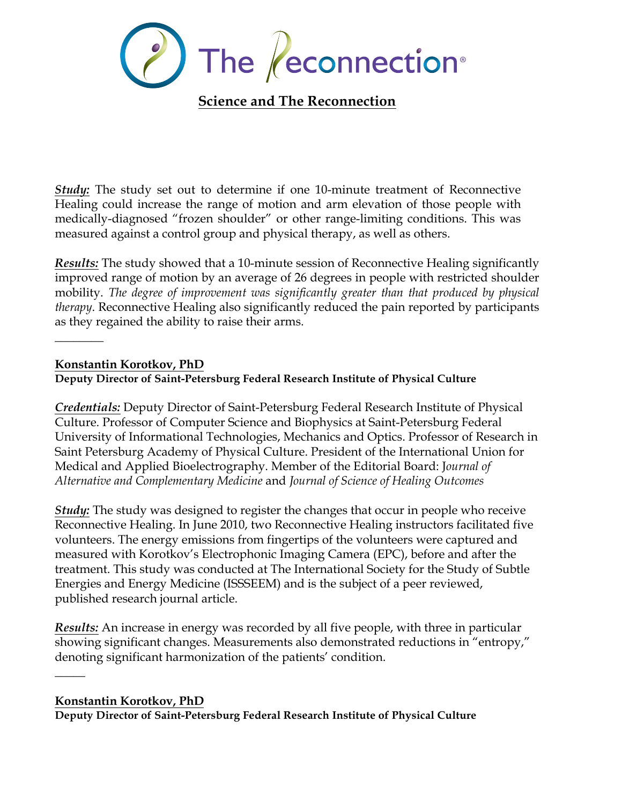

*Study:* The study set out to determine if one 10-minute treatment of Reconnective Healing could increase the range of motion and arm elevation of those people with medically-diagnosed "frozen shoulder" or other range-limiting conditions. This was measured against a control group and physical therapy, as well as others.

*Results:* The study showed that a 10-minute session of Reconnective Healing significantly improved range of motion by an average of 26 degrees in people with restricted shoulder mobility. *The degree of improvement was significantly greater than that produced by physical therapy*. Reconnective Healing also significantly reduced the pain reported by participants as they regained the ability to raise their arms.

**Konstantin Korotkov, PhD**

 $\overline{\phantom{a}}$ 

#### **Deputy Director of Saint-Petersburg Federal Research Institute of Physical Culture**

*Credentials:* Deputy Director of Saint-Petersburg Federal Research Institute of Physical Culture. Professor of Computer Science and Biophysics at Saint-Petersburg Federal University of Informational Technologies, Mechanics and Optics. Professor of Research in Saint Petersburg Academy of Physical Culture. President of the International Union for Medical and Applied Bioelectrography. Member of the Editorial Board: J*ournal of Alternative and Complementary Medicine* and *Journal of Science of Healing Outcomes*

*Study:* The study was designed to register the changes that occur in people who receive Reconnective Healing. In June 2010, two Reconnective Healing instructors facilitated five volunteers. The energy emissions from fingertips of the volunteers were captured and measured with Korotkov's Electrophonic Imaging Camera (EPC), before and after the treatment. This study was conducted at The International Society for the Study of Subtle Energies and Energy Medicine (ISSSEEM) and is the subject of a peer reviewed, published research journal article.

*Results:* An increase in energy was recorded by all five people, with three in particular showing significant changes. Measurements also demonstrated reductions in "entropy," denoting significant harmonization of the patients' condition.

#### **Konstantin Korotkov, PhD**

 $\overline{\phantom{a}}$ 

**Deputy Director of Saint-Petersburg Federal Research Institute of Physical Culture**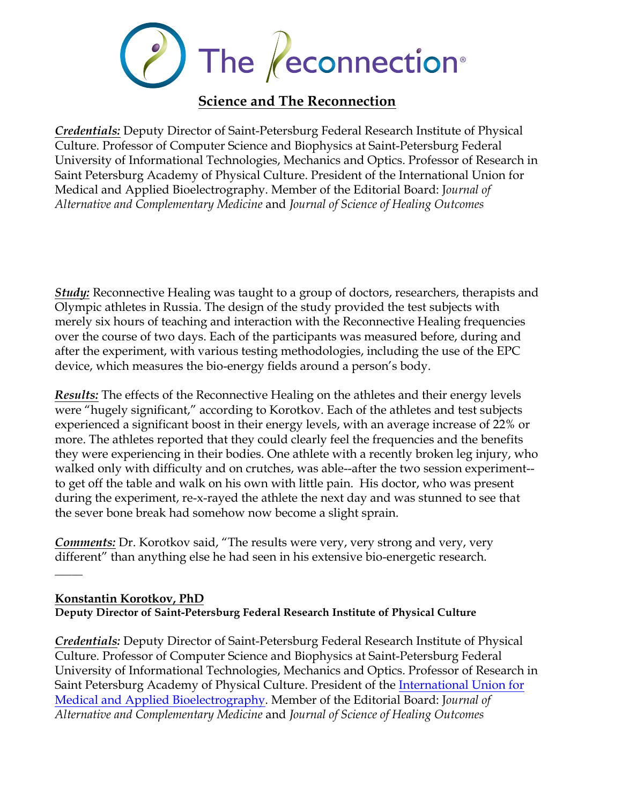

*Credentials:* Deputy Director of Saint-Petersburg Federal Research Institute of Physical Culture. Professor of Computer Science and Biophysics at Saint-Petersburg Federal University of Informational Technologies, Mechanics and Optics. Professor of Research in Saint Petersburg Academy of Physical Culture. President of the International Union for Medical and Applied Bioelectrography. Member of the Editorial Board: J*ournal of Alternative and Complementary Medicine* and *Journal of Science of Healing Outcomes*

*Study:* Reconnective Healing was taught to a group of doctors, researchers, therapists and Olympic athletes in Russia. The design of the study provided the test subjects with merely six hours of teaching and interaction with the Reconnective Healing frequencies over the course of two days. Each of the participants was measured before, during and after the experiment, with various testing methodologies, including the use of the EPC device, which measures the bio-energy fields around a person's body.

*Results:* The effects of the Reconnective Healing on the athletes and their energy levels were "hugely significant," according to Korotkov. Each of the athletes and test subjects experienced a significant boost in their energy levels, with an average increase of 22% or more. The athletes reported that they could clearly feel the frequencies and the benefits they were experiencing in their bodies. One athlete with a recently broken leg injury, who walked only with difficulty and on crutches, was able--after the two session experiment- to get off the table and walk on his own with little pain. His doctor, who was present during the experiment, re-x-rayed the athlete the next day and was stunned to see that the sever bone break had somehow now become a slight sprain.

*Comments:* Dr. Korotkov said, "The results were very, very strong and very, very different" than anything else he had seen in his extensive bio-energetic research.

### **Konstantin Korotkov, PhD Deputy Director of Saint-Petersburg Federal Research Institute of Physical Culture**

 $\overline{\phantom{a}}$ 

*Credentials:* Deputy Director of Saint-Petersburg Federal Research Institute of Physical Culture. Professor of Computer Science and Biophysics at Saint-Petersburg Federal University of Informational Technologies, Mechanics and Optics. Professor of Research in Saint Petersburg Academy of Physical Culture. President of the International Union for Medical and Applied Bioelectrography. Member of the Editorial Board: J*ournal of Alternative and Complementary Medicine* and *Journal of Science of Healing Outcomes*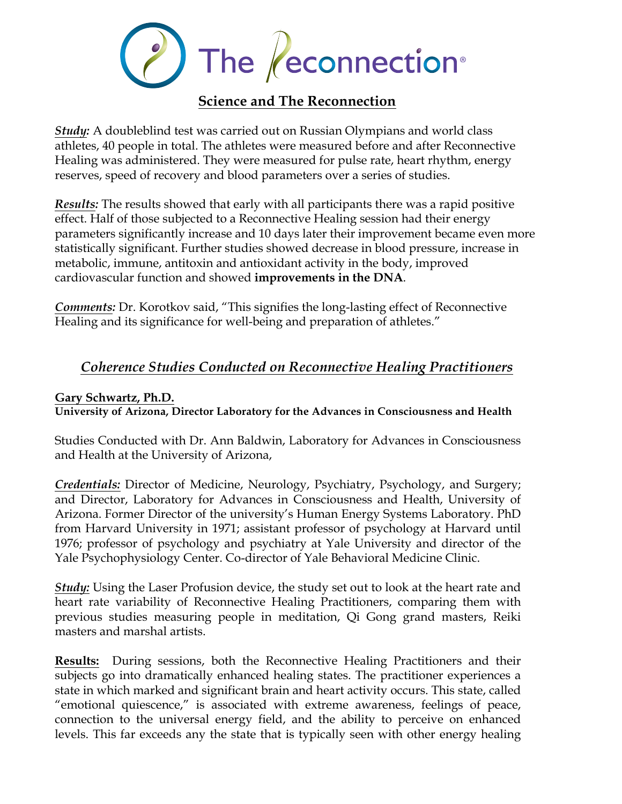

*Study:* A doubleblind test was carried out on Russian Olympians and world class athletes, 40 people in total. The athletes were measured before and after Reconnective Healing was administered. They were measured for pulse rate, heart rhythm, energy reserves, speed of recovery and blood parameters over a series of studies.

*Results:* The results showed that early with all participants there was a rapid positive effect. Half of those subjected to a Reconnective Healing session had their energy parameters significantly increase and 10 days later their improvement became even more statistically significant. Further studies showed decrease in blood pressure, increase in metabolic, immune, antitoxin and antioxidant activity in the body, improved cardiovascular function and showed **improvements in the DNA**.

*Comments:* Dr. Korotkov said, "This signifies the long-lasting effect of Reconnective Healing and its significance for well-being and preparation of athletes."

# *Coherence Studies Conducted on Reconnective Healing Practitioners*

#### **Gary Schwartz, Ph.D.**

**University of Arizona, Director Laboratory for the Advances in Consciousness and Health**

Studies Conducted with Dr. Ann Baldwin, Laboratory for Advances in Consciousness and Health at the University of Arizona,

*Credentials:* Director of Medicine, Neurology, Psychiatry, Psychology, and Surgery; and Director, Laboratory for Advances in Consciousness and Health, University of Arizona. Former Director of the university's Human Energy Systems Laboratory. PhD from Harvard University in 1971; assistant professor of psychology at Harvard until 1976; professor of psychology and psychiatry at Yale University and director of the Yale Psychophysiology Center. Co-director of Yale Behavioral Medicine Clinic.

*Study:* Using the Laser Profusion device, the study set out to look at the heart rate and heart rate variability of Reconnective Healing Practitioners, comparing them with previous studies measuring people in meditation, Qi Gong grand masters, Reiki masters and marshal artists.

**Results:** During sessions, both the Reconnective Healing Practitioners and their subjects go into dramatically enhanced healing states. The practitioner experiences a state in which marked and significant brain and heart activity occurs. This state, called "emotional quiescence," is associated with extreme awareness, feelings of peace, connection to the universal energy field, and the ability to perceive on enhanced levels. This far exceeds any the state that is typically seen with other energy healing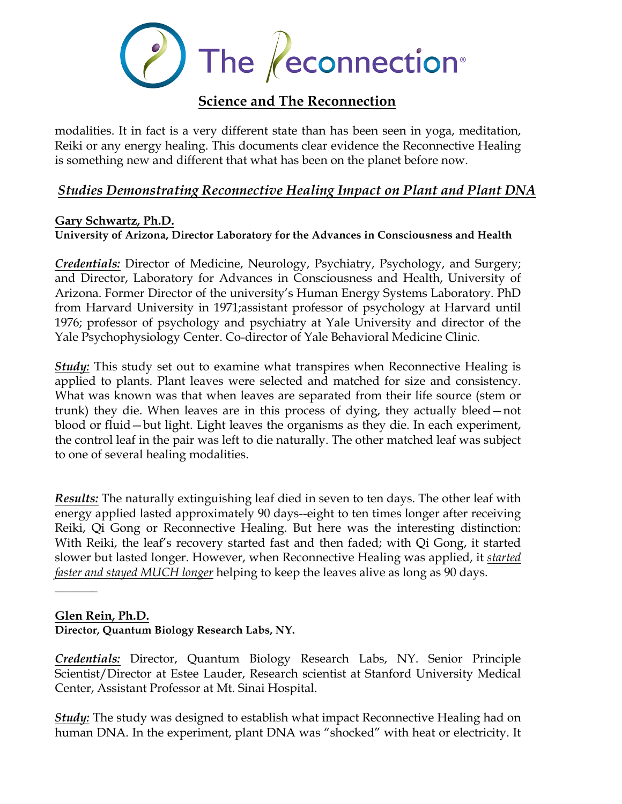

modalities. It in fact is a very different state than has been seen in yoga, meditation, Reiki or any energy healing. This documents clear evidence the Reconnective Healing is something new and different that what has been on the planet before now.

### *Studies Demonstrating Reconnective Healing Impact on Plant and Plant DNA*

### **Gary Schwartz, Ph.D.**

**University of Arizona, Director Laboratory for the Advances in Consciousness and Health**

*Credentials:* Director of Medicine, Neurology, Psychiatry, Psychology, and Surgery; and Director, Laboratory for Advances in Consciousness and Health, University of Arizona. Former Director of the university's Human Energy Systems Laboratory. PhD from Harvard University in 1971;assistant professor of psychology at Harvard until 1976; professor of psychology and psychiatry at Yale University and director of the Yale Psychophysiology Center. Co-director of Yale Behavioral Medicine Clinic.

*Study:* This study set out to examine what transpires when Reconnective Healing is applied to plants. Plant leaves were selected and matched for size and consistency. What was known was that when leaves are separated from their life source (stem or trunk) they die. When leaves are in this process of dying, they actually bleed—not blood or fluid—but light. Light leaves the organisms as they die. In each experiment, the control leaf in the pair was left to die naturally. The other matched leaf was subject to one of several healing modalities.

*Results:* The naturally extinguishing leaf died in seven to ten days. The other leaf with energy applied lasted approximately 90 days--eight to ten times longer after receiving Reiki, Qi Gong or Reconnective Healing. But here was the interesting distinction: With Reiki, the leaf's recovery started fast and then faded; with Qi Gong, it started slower but lasted longer. However, when Reconnective Healing was applied, it *started faster and stayed MUCH longer* helping to keep the leaves alive as long as 90 days.

#### **Glen Rein, Ph.D.**

 $\frac{1}{2}$ 

#### **Director, Quantum Biology Research Labs, NY.**

*Credentials:* Director, Quantum Biology Research Labs, NY. Senior Principle Scientist/Director at Estee Lauder, Research scientist at Stanford University Medical Center, Assistant Professor at Mt. Sinai Hospital.

*Study:* The study was designed to establish what impact Reconnective Healing had on human DNA. In the experiment, plant DNA was "shocked" with heat or electricity. It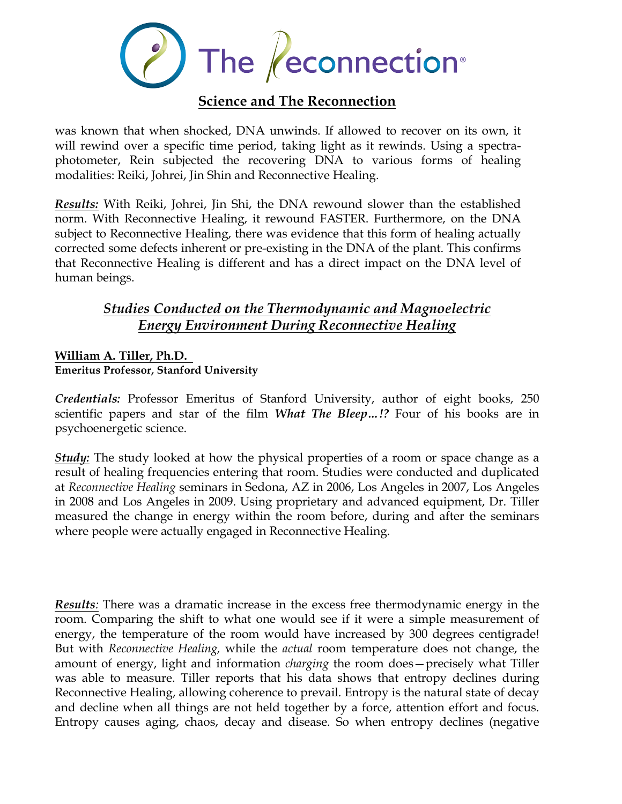

was known that when shocked, DNA unwinds. If allowed to recover on its own, it will rewind over a specific time period, taking light as it rewinds. Using a spectraphotometer, Rein subjected the recovering DNA to various forms of healing modalities: Reiki, Johrei, Jin Shin and Reconnective Healing.

*Results:* With Reiki, Johrei, Jin Shi, the DNA rewound slower than the established norm. With Reconnective Healing, it rewound FASTER. Furthermore, on the DNA subject to Reconnective Healing, there was evidence that this form of healing actually corrected some defects inherent or pre-existing in the DNA of the plant. This confirms that Reconnective Healing is different and has a direct impact on the DNA level of human beings.

# *Studies Conducted on the Thermodynamic and Magnoelectric Energy Environment During Reconnective Healing*

#### **William A. Tiller, Ph.D. Emeritus Professor, Stanford University**

*Credentials:* Professor Emeritus of Stanford University, author of eight books, 250 scientific papers and star of the film *What The Bleep…!?* Four of his books are in psychoenergetic science.

*Study:* The study looked at how the physical properties of a room or space change as a result of healing frequencies entering that room. Studies were conducted and duplicated at *Reconnective Healing* seminars in Sedona, AZ in 2006, Los Angeles in 2007, Los Angeles in 2008 and Los Angeles in 2009. Using proprietary and advanced equipment, Dr. Tiller measured the change in energy within the room before, during and after the seminars where people were actually engaged in Reconnective Healing.

*Results:* There was a dramatic increase in the excess free thermodynamic energy in the room. Comparing the shift to what one would see if it were a simple measurement of energy, the temperature of the room would have increased by 300 degrees centigrade! But with *Reconnective Healing,* while the *actual* room temperature does not change, the amount of energy, light and information *charging* the room does—precisely what Tiller was able to measure. Tiller reports that his data shows that entropy declines during Reconnective Healing, allowing coherence to prevail. Entropy is the natural state of decay and decline when all things are not held together by a force, attention effort and focus. Entropy causes aging, chaos, decay and disease. So when entropy declines (negative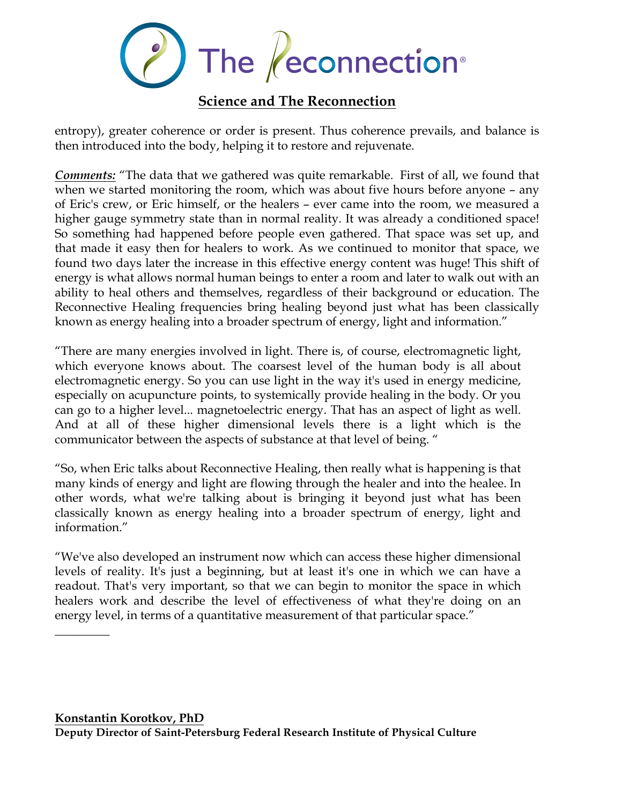

entropy), greater coherence or order is present. Thus coherence prevails, and balance is then introduced into the body, helping it to restore and rejuvenate.

*Comments:* "The data that we gathered was quite remarkable. First of all, we found that when we started monitoring the room, which was about five hours before anyone – any of Eric's crew, or Eric himself, or the healers – ever came into the room, we measured a higher gauge symmetry state than in normal reality. It was already a conditioned space! So something had happened before people even gathered. That space was set up, and that made it easy then for healers to work. As we continued to monitor that space, we found two days later the increase in this effective energy content was huge! This shift of energy is what allows normal human beings to enter a room and later to walk out with an ability to heal others and themselves, regardless of their background or education. The Reconnective Healing frequencies bring healing beyond just what has been classically known as energy healing into a broader spectrum of energy, light and information."

"There are many energies involved in light. There is, of course, electromagnetic light, which everyone knows about. The coarsest level of the human body is all about electromagnetic energy. So you can use light in the way it's used in energy medicine, especially on acupuncture points, to systemically provide healing in the body. Or you can go to a higher level... magnetoelectric energy. That has an aspect of light as well. And at all of these higher dimensional levels there is a light which is the communicator between the aspects of substance at that level of being. "

"So, when Eric talks about Reconnective Healing, then really what is happening is that many kinds of energy and light are flowing through the healer and into the healee. In other words, what we're talking about is bringing it beyond just what has been classically known as energy healing into a broader spectrum of energy, light and information."

"We've also developed an instrument now which can access these higher dimensional levels of reality. It's just a beginning, but at least it's one in which we can have a readout. That's very important, so that we can begin to monitor the space in which healers work and describe the level of effectiveness of what they're doing on an energy level, in terms of a quantitative measurement of that particular space."

 $\overline{\phantom{a}}$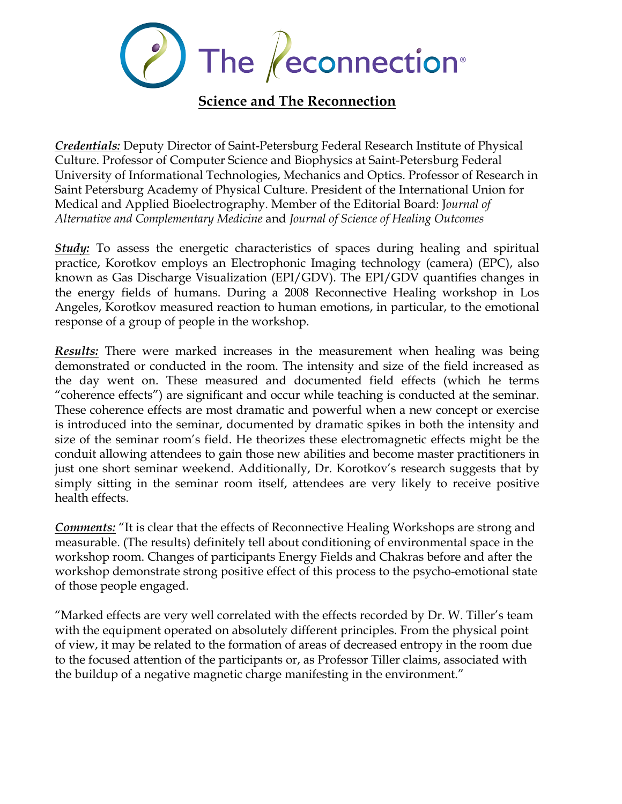

*Credentials:* Deputy Director of Saint-Petersburg Federal Research Institute of Physical Culture. Professor of Computer Science and Biophysics at Saint-Petersburg Federal University of Informational Technologies, Mechanics and Optics. Professor of Research in Saint Petersburg Academy of Physical Culture. President of the International Union for Medical and Applied Bioelectrography. Member of the Editorial Board: J*ournal of Alternative and Complementary Medicine* and *Journal of Science of Healing Outcomes*

*Study:* To assess the energetic characteristics of spaces during healing and spiritual practice, Korotkov employs an Electrophonic Imaging technology (camera) (EPC), also known as Gas Discharge Visualization (EPI/GDV). The EPI/GDV quantifies changes in the energy fields of humans. During a 2008 Reconnective Healing workshop in Los Angeles, Korotkov measured reaction to human emotions, in particular, to the emotional response of a group of people in the workshop.

*Results:* There were marked increases in the measurement when healing was being demonstrated or conducted in the room. The intensity and size of the field increased as the day went on. These measured and documented field effects (which he terms "coherence effects") are significant and occur while teaching is conducted at the seminar. These coherence effects are most dramatic and powerful when a new concept or exercise is introduced into the seminar, documented by dramatic spikes in both the intensity and size of the seminar room's field. He theorizes these electromagnetic effects might be the conduit allowing attendees to gain those new abilities and become master practitioners in just one short seminar weekend. Additionally, Dr. Korotkov's research suggests that by simply sitting in the seminar room itself, attendees are very likely to receive positive health effects.

*Comments:* "It is clear that the effects of Reconnective Healing Workshops are strong and measurable. (The results) definitely tell about conditioning of environmental space in the workshop room. Changes of participants Energy Fields and Chakras before and after the workshop demonstrate strong positive effect of this process to the psycho-emotional state of those people engaged.

"Marked effects are very well correlated with the effects recorded by Dr. W. Tiller's team with the equipment operated on absolutely different principles. From the physical point of view, it may be related to the formation of areas of decreased entropy in the room due to the focused attention of the participants or, as Professor Tiller claims, associated with the buildup of a negative magnetic charge manifesting in the environment."